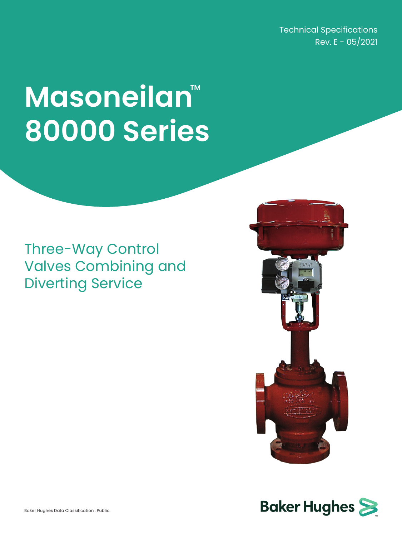Technical Specifications Rev.  $E - 05/2021$ 

# **Masoneilan**™ **80000 Series**

### Three-Way Control Valves Combining and Diverting Service



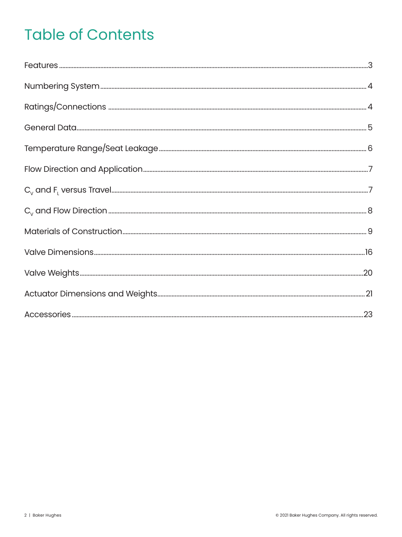# **Table of Contents**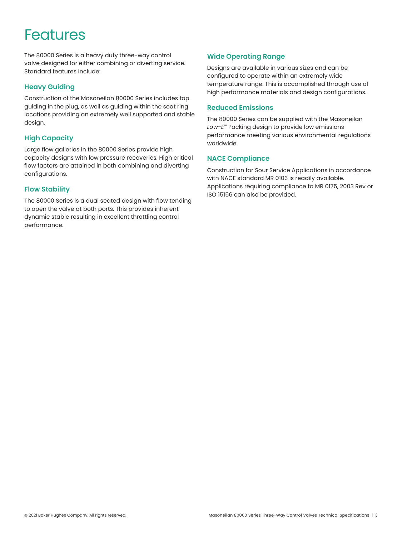### **Features**

The 80000 Series is a heavy duty three-way control valve designed for either combining or diverting service. Standard features include:

#### **Heavy Guiding**

Construction of the Masoneilan 80000 Series includes top guiding in the plug, as well as guiding within the seat ring locations providing an extremely well supported and stable design.

#### **High Capacity**

Large flow galleries in the 80000 Series provide high capacity designs with low pressure recoveries. High critical flow factors are attained in both combining and diverting configurations.

#### **Flow Stability**

The 80000 Series is a dual seated design with flow tending to open the valve at both ports. This provides inherent dynamic stable resulting in excellent throttling control performance.

### **Wide Operating Range**

Designs are available in various sizes and can be configured to operate within an extremely wide temperature range. This is accomplished through use of high performance materials and design configurations.

#### **Reduced Emissions**

The 80000 Series can be supplied with the Masoneilan *Low-E™* Packing design to provide low emissions performance meeting various environmental regulations worldwide.

#### **NACE Compliance**

Construction for Sour Service Applications in accordance with NACE standard MR 0103 is readily available. Applications requiring compliance to MR 0175, 2003 Rev or ISO 15156 can also be provided.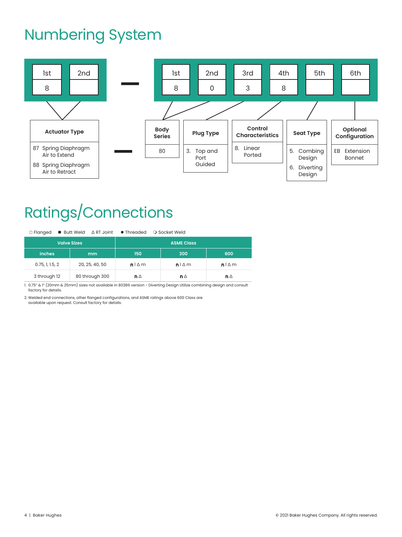### Numbering System



# Ratings/Connections

|  |  |  |  | □ Flanged ■ Butt Weld △ RT Joint ● Threaded ○ Socket Weld |
|--|--|--|--|-----------------------------------------------------------|
|--|--|--|--|-----------------------------------------------------------|

|                 | <b>Valve Sizes</b> | <b>ASME Class</b> |               |               |  |  |  |  |
|-----------------|--------------------|-------------------|---------------|---------------|--|--|--|--|
| <b>inches</b>   | mm                 | 150               | 300           | 600           |  |  |  |  |
| 0.75, 1, 1.5, 2 | 20, 25, 40, 50     | $n \Delta m$      | $n \Delta m$  | $n \Delta m$  |  |  |  |  |
| 3 through 12    | 80 through 300     | n $\Delta$        | n $\triangle$ | $n \triangle$ |  |  |  |  |

1. 0.75" & 1" (20mm & 25mm) sizes not available in 80386 version - Diverting Design Utilize combining design and consult factory for details.

2. Welded end connections, other flanged configurations, and ASME ratings above 600 Class are available upon request. Consult factory for details.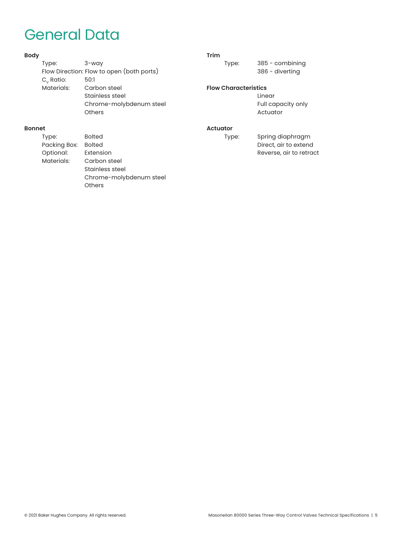### General Data

#### **Body**

| Type:                 | $3 - way$                                 |
|-----------------------|-------------------------------------------|
|                       | Flow Direction: Flow to open (both ports) |
| C <sub>v</sub> Ratio: | 50:1                                      |
| Materials:            | Carbon steel                              |
|                       | Stainless steel                           |
|                       | Chrome-molybdenum steel                   |
|                       | Others                                    |
|                       |                                           |

#### **Trim**

Type: 385 - combining 386 - diverting

#### **Flow Characteristics**

 Linear Full capacity only Actuator

#### **Actuator**

Type: Spring diaphragm Direct, air to extend Reverse, air to retract

### **Bonnet**

Type: Bolted Packing Box: Bolted<br>Optional: Extension Optional: Materials: Carbon steel Stainless steel Chrome-molybdenum steel **Others**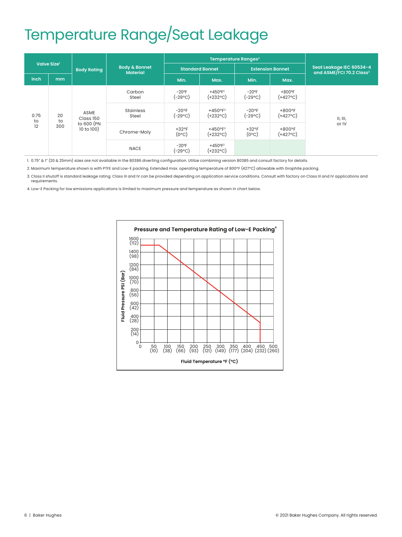# Temperature Range/Seat Leakage

|            |                         |                                               |                                             |                            | Temperature Ranges <sup>2</sup> |                            |                         |                                                                  |                         |          |
|------------|-------------------------|-----------------------------------------------|---------------------------------------------|----------------------------|---------------------------------|----------------------------|-------------------------|------------------------------------------------------------------|-------------------------|----------|
|            | Valve Size <sup>1</sup> | <b>Body Rating</b>                            | <b>Body &amp; Bonnet</b><br><b>Material</b> | <b>Standard Bonnet</b>     |                                 | <b>Extension Bonnet</b>    |                         | Seat Leakage IEC 60534-4<br>and ASME/FCI 70.2 Class <sup>3</sup> |                         |          |
| inch       | mm                      |                                               |                                             | Min.                       | Max.                            | Min.                       | Max.                    |                                                                  |                         |          |
|            |                         |                                               | Carbon<br>Steel                             | $-20$ °F<br>$(-29°C)$      | $+450°F^2$<br>(+232°C)          | $-20$ °F<br>(-29°C)        | $+800$ °F<br>$(+427°C)$ |                                                                  |                         |          |
| 0.75<br>to | 20<br>to                | ASME<br>Class 150<br>to 600 (PN<br>10 to 100) |                                             |                            | <b>Stainless</b><br>Steel       | $-20$ °F<br>(-29°C)        | $+450°F^2$<br>(+232°C)  | $-20$ °F<br>(-29°C)                                              | $+800$ °F<br>$(+427°C)$ | II, III, |
| 12         | 300                     |                                               | Chrome-Moly                                 | $+32$ °F<br>$(0^{\circ}C)$ | $+450°F^2$<br>(+232°C)          | $+32$ °F<br>$(0^{\circ}C)$ | $+800$ °F<br>$(+427°C)$ | or IV                                                            |                         |          |
|            |                         |                                               | <b>NACE</b>                                 | $-20$ °F<br>(-29°C)        | $+450°F^2$<br>(+232°C)          |                            |                         |                                                                  |                         |          |

1. 0.75" & 1" (20 & 25mm) sizes are not available in the 80386 diverting configuration. Utilize combining version 80385 and consult factory for details.

2. Maximum temperature shown is with PTFE and Low-E packing. Extended max. operating temperature of 800°F (427°C) allowable with Graphite packing.

3. Class II shutoff is standard leakage rating. Class III and IV can be provided depending on application service conditions. Consult with factory on Class III and IV applications and requirements.

4. Low-E Packing for low emissions applications is limited to maximum pressure and temperature as shown in chart below.

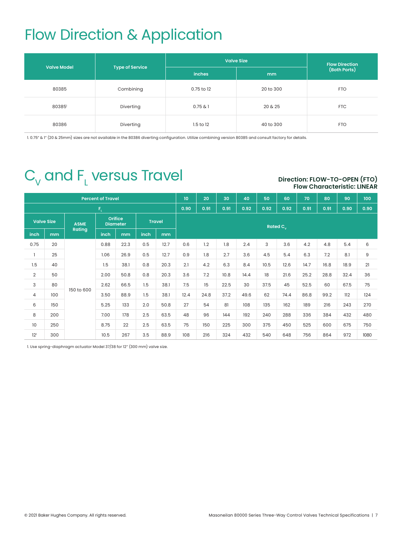# Flow Direction & Application

| <b>Valve Model</b> |                        | <b>Valve Size</b> | <b>Flow Direction</b> |              |
|--------------------|------------------------|-------------------|-----------------------|--------------|
|                    | <b>Type of Service</b> | <b>inches</b>     | mm                    | (Both Ports) |
| 80385              | Combining              | 0.75 to 12        | 20 to 300             | <b>FTO</b>   |
| 80385              | Diverting              | 0.75 & 1          | 20 & 25               | <b>FTC</b>   |
| 80386              | Diverting              | $1.5$ to $12$     | 40 to 300             | <b>FTO</b>   |

1. 0.75" & 1" (20 & 25mm) sizes are not available in the 80386 diverting configuration. Utilize combining version 80385 and consult factory for details.

# $\mathsf{C}_{_{\mathrm{V}}}$  and  $\mathsf{F}_{_{\mathrm{L}}}$  versus Travel

#### **Direction: FLOW-TO-OPEN (FTO) Flow Characteristic: LINEAR**

|                 |                   |               | <b>Percent of Travel</b>                           |      |      |      | 10                   | 20   | 30   | 40   | 50   | 60   | 70   | 80   | 90   | 100  |
|-----------------|-------------------|---------------|----------------------------------------------------|------|------|------|----------------------|------|------|------|------|------|------|------|------|------|
|                 | $F_{\rm L}$       |               |                                                    |      |      |      |                      | 0.91 | 0.91 | 0.92 | 0.92 | 0.92 | 0.91 | 0.91 | 0.90 | 0.90 |
|                 | <b>Valve Size</b> | <b>ASME</b>   | <b>Orifice</b><br><b>Travel</b><br><b>Diameter</b> |      |      |      | Rated C <sub>v</sub> |      |      |      |      |      |      |      |      |      |
| inch            | mm                | <b>Rating</b> | inch                                               | mm   | inch | mm   |                      |      |      |      |      |      |      |      |      |      |
| 0.75            | 20                |               | 0.88                                               | 22.3 | 0.5  | 12.7 | 0.6                  | 1.2  | 1.8  | 2.4  | 3    | 3.6  | 4.2  | 4.8  | 5.4  | 6    |
|                 | 25                |               | 1.06                                               | 26.9 | 0.5  | 12.7 | 0.9                  | 1.8  | 2.7  | 3.6  | 4.5  | 5.4  | 6.3  | 7.2  | 8.1  | 9    |
| 1.5             | 40                |               | 1.5                                                | 38.1 | 0.8  | 20.3 | 2.1                  | 4.2  | 6.3  | 8.4  | 10.5 | 12.6 | 14.7 | 16.8 | 18.9 | 21   |
| $\overline{2}$  | 50                |               | 2.00                                               | 50.8 | 0.8  | 20.3 | 3.6                  | 7.2  | 10.8 | 14.4 | 18   | 21.6 | 25.2 | 28.8 | 32.4 | 36   |
| 3               | 80                |               | 2.62                                               | 66.5 | 1.5  | 38.1 | 7.5                  | 15   | 22.5 | 30   | 37.5 | 45   | 52.5 | 60   | 67.5 | 75   |
| $\overline{4}$  | 100               | 150 to 600    | 3.50                                               | 88.9 | 1.5  | 38.1 | 12.4                 | 24.8 | 37.2 | 49.6 | 62   | 74.4 | 86.8 | 99.2 | 112  | 124  |
| 6               | 150               |               | 5.25                                               | 133  | 2.0  | 50.8 | 27                   | 54   | 81   | 108  | 135  | 162  | 189  | 216  | 243  | 270  |
| 8               | 200               |               | 7.00                                               | 178  | 2.5  | 63.5 | 48                   | 96   | 144  | 192  | 240  | 288  | 336  | 384  | 432  | 480  |
| 10              | 250               |               | 8.75                                               | 22   | 2.5  | 63.5 | 75                   | 150  | 225  | 300  | 375  | 450  | 525  | 600  | 675  | 750  |
| 12 <sup>1</sup> | 300               |               | 10.5                                               | 267  | 3.5  | 88.9 | 108                  | 216  | 324  | 432  | 540  | 648  | 756  | 864  | 972  | 1080 |

1. Use spring-diaphragm actuator Model 37/38 for 12" (300 mm) valve size.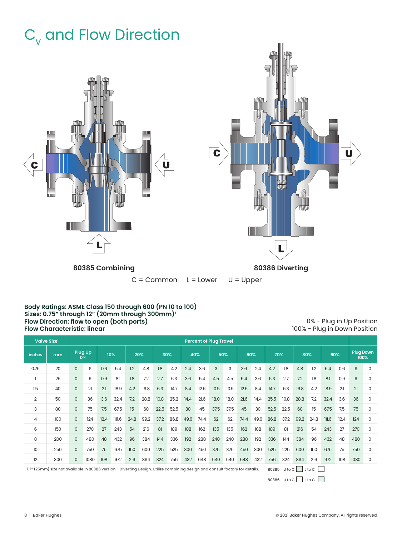# $C_{V}$  and Flow Direction



#### **Body Ratings: ASME Class 150 through 600 (PN 10 to 100) Sizes: 0.75" through 12" (20mm through 300mm)1 Flow Direction: flow to open (both ports) Flow Characteristic: linear**

0% - Plug in Up Position 100% - Plug in Down Position

| Valve Size <sup>1</sup> |                                                                                                                               |              | <b>Percent of Plug Travel</b> |      |       |      |      |      |      |      |      |      |      |      |      |      |              |      |        |       |      |                          |   |
|-------------------------|-------------------------------------------------------------------------------------------------------------------------------|--------------|-------------------------------|------|-------|------|------|------|------|------|------|------|------|------|------|------|--------------|------|--------|-------|------|--------------------------|---|
| <b>inches</b>           | mm                                                                                                                            |              | Plug Up<br>0%                 |      | 10%   |      | 20%  |      | 30%  |      | 40%  |      | 50%  |      | 60%  |      | 70%          |      | 80%    |       | 90%  | <b>Plug Down</b><br>100% |   |
| 0.75                    | 20                                                                                                                            | $\mathbf{0}$ | 6                             | 0.6  | 5.4   | 1.2  | 4.8  | 1.8  | 4.2  | 2.4  | 3.6  | 3    | 3    | 3.6  | 2.4  | 4.2  | 1.8          | 4.8  | 1.2    | 5.4   | 0.6  | 6                        | 0 |
|                         | 25                                                                                                                            | $\Omega$     | 9                             | 0.9  | 8.1   | 1.8  | 7.2  | 2.7  | 6.3  | 3.6  | 5.4  | 4.5  | 4.5  | 5.4  | 3.6  | 6.3  | 2.7          | 7.2  | 1.8    | 8.1   | 0.9  | 9                        | 0 |
| 1.5                     | 40                                                                                                                            | $\mathsf{O}$ | 21                            | 2.1  | 18.9  | 4.2  | 16.8 | 6.3  | 14.7 | 8.4  | 12.6 | 10.5 | 10.5 | 12.6 | 8.4  | 14.7 | 6.3          | 16.8 | 4.2    | 18.9  | 2.1  | 21                       | 0 |
| 2                       | 50                                                                                                                            | $\Omega$     | 36                            | 3.6  | 32.4  | 7.2  | 28.8 | 10.8 | 25.2 | 14.4 | 21.6 | 18.0 | 18.0 | 21.6 | 14.4 | 25.5 | 10.8         | 28.8 | 7.2    | 32.4  | 3.6  | 36                       | 0 |
| 3                       | 80                                                                                                                            | $\mathsf{O}$ | 75                            | 7.5  | 67.5  | 15   | 60   | 22.5 | 52.5 | 30   | 45   | 37.5 | 37.5 | 45   | 30   | 52.5 | 22.5         | 60   | 15     | 67.5  | 7.5  | 75                       | 0 |
| 4                       | 100                                                                                                                           | $\mathsf{O}$ | 124                           | 12.4 | III.6 | 24.8 | 99.2 | 37.2 | 86.8 | 49.6 | 74.4 | 62   | 62   | 74.4 | 49.6 | 86.8 | 37.2         | 99.2 | 24.8   | III.6 | 12.4 | 124                      | 0 |
| 6                       | 150                                                                                                                           | $\mathsf{O}$ | 270                           | 27   | 243   | 54   | 216  | 81   | 189  | 108  | 162  | 135  | 135  | 162  | 108  | 189  | 81           | 216  | 54     | 243   | 27   | 270                      | 0 |
| 8                       | 200                                                                                                                           | $\Omega$     | 480                           | 48   | 432   | 96   | 384  | 144  | 336  | 192  | 288  | 240  | 240  | 288  | 192  | 336  | 144          | 384  | 96     | 432   | 48   | 480                      | 0 |
| 10                      | 250                                                                                                                           | $\Omega$     | 750                           | 75   | 675   | 150  | 600  | 225  | 525  | 300  | 450  | 375  | 375  | 450  | 300  | 525  | 225          | 600  | 150    | 675   | 75   | 750                      | 0 |
| 12                      | 300                                                                                                                           | $\Omega$     | 1080                          | 108  | 972   | 216  | 864  | 324  | 756  | 432  | 648  | 540  | 540  | 648  | 432  | 756  | 324          | 864  | 216    | 972   | 108  | 1080                     | 0 |
|                         | 1.1" (25mm) size not available in 80386 version - Diverting Design. Utilize combining design and consult factory for details. |              |                               |      |       |      |      |      |      |      |      |      |      |      |      |      | 80385 U to C |      | L to C |       |      |                          |   |

80386 U to  $C$  L to  $C$   $\Box$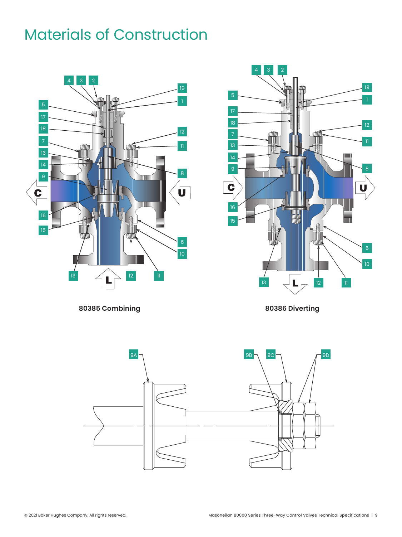

**80385 Combining 80386 Diverting**

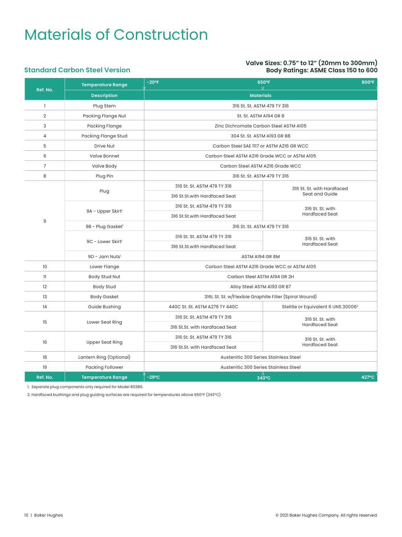#### **Valve Sizes: 0.75" to 12" (20mm to 300mm) Body Ratings: ASME Class 150 to 600**

#### **Standard Carbon Steel Version**

|                | <b>Temperature Range</b>      | $-20$ °F<br>650°F<br>800°F<br>$\nabla$                 |                                                 |  |  |  |  |  |
|----------------|-------------------------------|--------------------------------------------------------|-------------------------------------------------|--|--|--|--|--|
| Ref. No.       | <b>Description</b>            | <b>Materials</b>                                       |                                                 |  |  |  |  |  |
| $\mathbf{I}$   | Plug Stem                     | 316 St. St. ASTM 479 TY 316                            |                                                 |  |  |  |  |  |
| $\overline{2}$ | Packing Flange Nut            | St. St. ASTM A194 GR 8                                 |                                                 |  |  |  |  |  |
| 3              | Packing Flange                | Zinc Dichromate Carbon Steel ASTM A105                 |                                                 |  |  |  |  |  |
| $\overline{4}$ | Packing Flange Stud           | 304 St. St. ASTM A193 GR B8                            |                                                 |  |  |  |  |  |
| 5              | <b>Drive Nut</b>              | Carbon Steel SAE 1117 or ASTM A216 GR WCC              |                                                 |  |  |  |  |  |
| 6              | <b>Valve Bonnet</b>           | Carbon Steel ASTM A216 Grade WCC or ASTM A105          |                                                 |  |  |  |  |  |
| $\overline{7}$ | Valve Body                    | Carbon Steel ASTM A216 Grade WCC                       |                                                 |  |  |  |  |  |
| 8              | Plug Pin                      | 316 St. St. ASTM 479 TY 316                            |                                                 |  |  |  |  |  |
|                |                               | 316 St. St. ASTM 479 TY 316                            | 316 St. St. with Hardfaced                      |  |  |  |  |  |
|                | Plug                          | 316 St.St.with Hardfaced Seat                          | Seat and Guide                                  |  |  |  |  |  |
|                |                               | 316 St. St. ASTM 479 TY 316                            | 316 St. St. with                                |  |  |  |  |  |
|                | 9A - Upper Skirt <sup>1</sup> | 316 St.St.with Hardfaced Seat                          | <b>Hardfaced Seat</b>                           |  |  |  |  |  |
| 9              | 9B - Plug Gasket <sup>1</sup> | 316 St. St. ASTM 479 TY 316                            |                                                 |  |  |  |  |  |
|                |                               | 316 St. St. ASTM 479 TY 316                            | 316 St. St. with                                |  |  |  |  |  |
|                | 9C - Lower Skirt <sup>1</sup> | 316 St.St.with Hardfaced Seat                          | <b>Hardfaced Seat</b>                           |  |  |  |  |  |
|                | 9D - Jam Nuts <sup>1</sup>    | ASTM A194 GR 8M                                        |                                                 |  |  |  |  |  |
| 10             | Lower Flange                  | Carbon Steel ASTM A216 Grade WCC or ASTM A105          |                                                 |  |  |  |  |  |
| $\mathbf{I}$   | Body Stud Nut                 | Carbon Steel ASTM A194 GR 2H                           |                                                 |  |  |  |  |  |
| 12             | <b>Body Stud</b>              | Alloy Steel ASTM A193 GR B7                            |                                                 |  |  |  |  |  |
| 13             | Body Gasket                   | 316L St. St. w/Flexible Graphite Filler (Spiral Wound) |                                                 |  |  |  |  |  |
| 14             | Guide Bushing                 | 440C St. St. ASTM A276 TY 440C                         | Stellite or Equivalent 6 UNS 30006 <sup>2</sup> |  |  |  |  |  |
|                |                               | 316 St. St. ASTM 479 TY 316                            | 316 St. St. with                                |  |  |  |  |  |
| 15             | Lower Seat Ring               | 316 St.St. with Hardfaced Seat                         | <b>Hardfaced Seat</b>                           |  |  |  |  |  |
|                |                               | 316 St. St. ASTM 479 TY 316                            | 316 St. St. with                                |  |  |  |  |  |
| 16             | <b>Upper Seat Ring</b>        | 316 St.St. with Hardfaced Seat                         | <b>Hardfaced Seat</b>                           |  |  |  |  |  |
| 18             | Lantern Ring (Optional)       | Austenitic 300 Series Stainless Steel                  |                                                 |  |  |  |  |  |
| 19             | Packing Follower              | Austenitic 300 Series Stainless Steel                  |                                                 |  |  |  |  |  |
| Ref. No.       | <b>Temperature Range</b>      | $-29$ °C<br>427°C<br>343°C                             |                                                 |  |  |  |  |  |

1. Separate plug components only required for Model 80386.

2. Hardfaced bushings and plug guiding surfaces are required for temperatures above 650°F (343°C).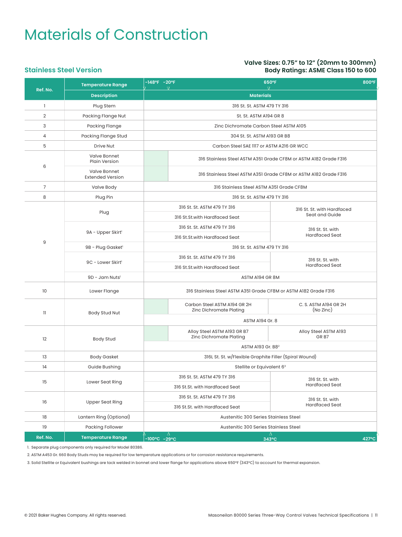**Stainless Steel Version**

#### **Valve Sizes: 0.75" to 12" (20mm to 300mm) Body Ratings: ASME Class 150 to 600**

#### **Ref. No. Temperature Range -148°F 800°F Description and the contract of the contract of the contract of the contract of the contract of the contract of the contract of the contract of the contract of the contract of the contract of the contract of the contract** 1 Plug Stem 316 St. St. ASTM 479 TY 316 2 Packing Flange Nut St. St. ASTM A194 GR 8 3 Packing Flange 20 Packing Flange 21 Packing Flange 21 Packing Flange 21 Packing Flange 21 Packing 21 Packing 21 Packing 21 Packing 21 Packing 21 Packing 21 Packing 21 Packing 21 Packing 21 Packing 21 Packing 21 Packing 2 4 Packing Flange Stud 304 St. St. ASTM A193 GR B8 5 Drive Nut Carbon Steel SAE 1117 or ASTM A216 GR WCC 6 Valve Bonnet 316 Stainless Steel ASTM A351 Grade CF8M or ASTM A182 Grade F316 Valve Bonnet<br>Extended Version 316 Stainless Steel ASTM A351 Grade CF8M or ASTM A182 Grade F316 7 Valve Body 316 Stainless Steel ASTM A351 Grade CF8M 8 Plug Pin 316 St. St. ASTM 479 TY 316 9 Plug 316 St. St. ASTM 479 TY 316<br>
316 St. St. with Hardfaced<br>
Seat and Guide 316 St.St.with Hardfaced Seat 9A - Upper Skirt<sup>1</sup> 316 St. St. ASTM 479 TY 316 316 St. St. With 316 St. St. with 316 St. St. with 316 St. St. with 316 St. St. with 316 St. St. with 316 St. St. with 316 St. St. with 316 St. St. with 316 St. St. with 316 St. St. with 316 St. 316 St.St.with Hardfaced Seat 9B - Plug Gasket<sup>1</sup> 216 St. St. ASTM 479 TY 316 9C - Lower Skirt 316 St. St. ASTM 479 TY 316 316 St. St. with 316 St. St. with 316 St. St. with 316 St. St. with 316 St. St. with 316 St. St. with 316 St. St. with 316 St. St. with 316 St. St. with 316 St. St. with 316 St. St. with 316 St. 316 St.St.with Hardfaced Seat 9D - Jam Nuts<sup>1</sup> ASTM A194 GR 8M 10 Lower Flange 316 Stainless Steel ASTM A351 Grade CF8M or ASTM A182 Grade F316 11 Body Stud Nut Carbon Steel ASTM A194 GR 2H Zinc Dichromate Plating C. S. ASTM A194 GR 2H (No Zinc) ASTM A194 Gr. 8 12 Body Stud Alloy Steel ASTM A193 GR B7 Zinc Dichromate Plating Alloy Steel ASTM A193 GR B7 ASTM A193 Gr. B82 13 Body Gasket 316L St. St. w/Flexible Graphite Filler (Spiral Wound) 14 Guide Bushing Stellite or Equivalent 6<sup>3</sup> 15 Lower Seat Ring 316 St. St. ASTM 479 TY 316 316 St. St. with 199 TV 316 316 St. St. with 316 St. St. with 199 TV 316 316 St. St. with 199 TV 316 316 St. St. with 199 TV 316  $\frac{1}{2}$ 316 St.St. with Hardfaced Seat 16 Upper Seat Ring 316 St. St. ASTM 479 TY 316 316 St. St. With 316 St. St. with 316 St. St. with 316 St. St. with 316 St. St. with 316 St. St. with 316 St. St. with 316 St. St. with 316 St. St. with 316 St. St. with 316 St. St. with 316 St. 316 St.St. with Hardfaced Seat 18 Lantern Ring (Optional) Austenitic 300 Series Stainless Steel 19 Packing Follower Austenitic 300 Series Stainless Steel **Ref. No. Temperature Range -100°C 427°C 650°F 343°C -20°F -29°C**

1. Separate plug components only required for Model 80386.

2. ASTM A453 Gr. 660 Body Studs may be required for low temperature applications or for corrosion resistance requirements.

3. Solid Stellite or Equivalent bushings are tack welded in bonnet and lower flange for applications above 650°F (343°C) to account for thermal expansion.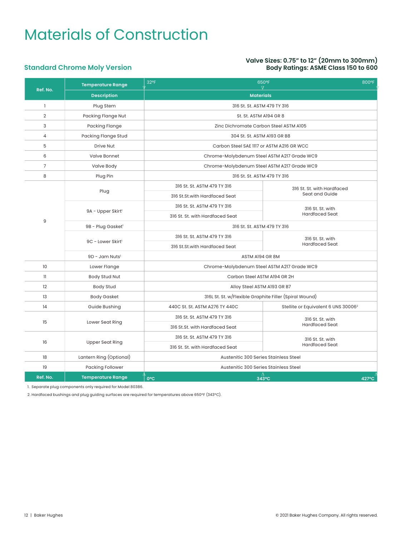#### **Valve Sizes: 0.75" to 12" (20mm to 300mm) Body Ratings: ASME Class 150 to 600**

### **Standard Chrome Moly Version**

| Ref. No.       | <b>Temperature Range</b>      | 32°F<br>650°F<br>800°F<br>$\nabla$                     |                                                 |  |  |  |  |  |
|----------------|-------------------------------|--------------------------------------------------------|-------------------------------------------------|--|--|--|--|--|
|                | <b>Description</b>            | <b>Materials</b>                                       |                                                 |  |  |  |  |  |
| 1              | Plug Stem                     | 316 St. St. ASTM 479 TY 316                            |                                                 |  |  |  |  |  |
| $\overline{2}$ | Packing Flange Nut            | St. St. ASTM A194 GR 8                                 |                                                 |  |  |  |  |  |
| 3              | <b>Packing Flange</b>         | Zinc Dichromate Carbon Steel ASTM A105                 |                                                 |  |  |  |  |  |
| 4              | Packing Flange Stud           | 304 St. St. ASTM A193 GR B8                            |                                                 |  |  |  |  |  |
| 5              | <b>Drive Nut</b>              | Carbon Steel SAE 1117 or ASTM A216 GR WCC              |                                                 |  |  |  |  |  |
| 6              | Valve Bonnet                  | Chrome-Molybdenum Steel ASTM A217 Grade WC9            |                                                 |  |  |  |  |  |
| $\overline{7}$ | Valve Body                    | Chrome-Molybdenum Steel ASTM A217 Grade WC9            |                                                 |  |  |  |  |  |
| 8              | Plug Pin                      | 316 St. St. ASTM 479 TY 316                            |                                                 |  |  |  |  |  |
|                |                               | 316 St. St. ASTM 479 TY 316                            | 316 St. St. with Hardfaced                      |  |  |  |  |  |
|                | Plug                          | 316 St.St.with Hardfaced Seat                          | Seat and Guide                                  |  |  |  |  |  |
|                |                               | 316 St. St. ASTM 479 TY 316                            | 316 St. St. with                                |  |  |  |  |  |
|                | 9A - Upper Skirt <sup>1</sup> | 316 St. St. with Hardfaced Seat                        | <b>Hardfaced Seat</b>                           |  |  |  |  |  |
| 9              | 9B - Plug Gasket <sup>1</sup> | 316 St. St. ASTM 479 TY 316                            |                                                 |  |  |  |  |  |
|                |                               | 316 St. St. ASTM 479 TY 316                            | 316 St. St. with                                |  |  |  |  |  |
|                | 9C - Lower Skirt <sup>1</sup> | 316 St.St.with Hardfaced Seat                          | <b>Hardfaced Seat</b>                           |  |  |  |  |  |
|                | 9D - Jam Nuts <sup>1</sup>    | ASTM A194 GR 8M                                        |                                                 |  |  |  |  |  |
| 10             | Lower Flange                  | Chrome-Molybdenum Steel ASTM A217 Grade WC9            |                                                 |  |  |  |  |  |
| $\mathbf{I}$   | Body Stud Nut                 | Carbon Steel ASTM A194 GR 2H                           |                                                 |  |  |  |  |  |
| 12             | <b>Body Stud</b>              | Alloy Steel ASTM A193 GR B7                            |                                                 |  |  |  |  |  |
| 13             | <b>Body Gasket</b>            | 316L St. St. w/Flexible Graphite Filler (Spiral Wound) |                                                 |  |  |  |  |  |
| 14             | Guide Bushing                 | 440C St. St. ASTM A276 TY 440C                         | Stellite or Equivalent 6 UNS 30006 <sup>2</sup> |  |  |  |  |  |
|                |                               | 316 St. St. ASTM 479 TY 316                            | 316 St. St. with                                |  |  |  |  |  |
| 15             | Lower Seat Ring               | 316 St.St. with Hardfaced Seat                         | <b>Hardfaced Seat</b>                           |  |  |  |  |  |
|                |                               | 316 St. St. ASTM 479 TY 316                            | 316 St. St. with                                |  |  |  |  |  |
| 16             | <b>Upper Seat Ring</b>        | 316 St. St. with Hardfaced Seat                        | <b>Hardfaced Seat</b>                           |  |  |  |  |  |
| 18             | Lantern Ring (Optional)       | Austenitic 300 Series Stainless Steel                  |                                                 |  |  |  |  |  |
| 19             | Packing Follower              | Austenitic 300 Series Stainless Steel                  |                                                 |  |  |  |  |  |
| Ref. No.       | <b>Temperature Range</b>      | $\Lambda$<br>0°C                                       | 343°C<br>427°C                                  |  |  |  |  |  |

1. Separate plug components only required for Model 80386.

2. Hardfaced bushings and plug guiding surfaces are required for temperatures above 650°F (343°C).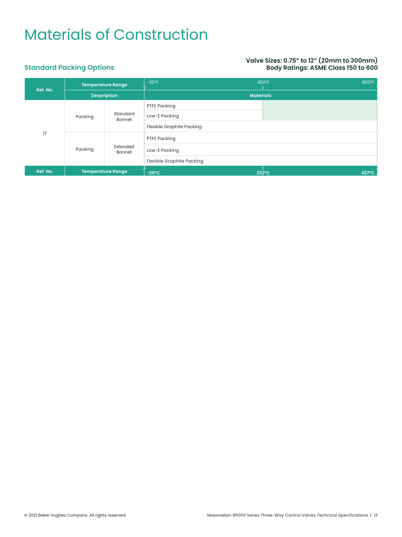#### **Valve Sizes: 0.75" to 12" (20mm to 300mm) Body Ratings: ASME Class 150 to 600**

### **Standard Packing Options**

| Ref. No. | <b>Temperature Range</b> |                          | $-20$ °F                         | 800°F<br>450°F |
|----------|--------------------------|--------------------------|----------------------------------|----------------|
|          | <b>Description</b>       |                          | <b>Materials</b>                 |                |
|          |                          |                          | PTFE Packing                     |                |
|          | Packing                  | Standard<br>Bonnet       | Low-E Packing                    |                |
|          |                          |                          | <b>Flexible Graphite Packing</b> |                |
| 17       |                          |                          | PTFE Packing                     |                |
|          | Packing                  | Extended<br>Bonnet       | Low-E Packing                    |                |
|          |                          |                          | Flexible Graphite Packing        |                |
| Ref. No. |                          | <b>Temperature Range</b> | $-29^{\circ}$ C                  | 427°C<br>232°C |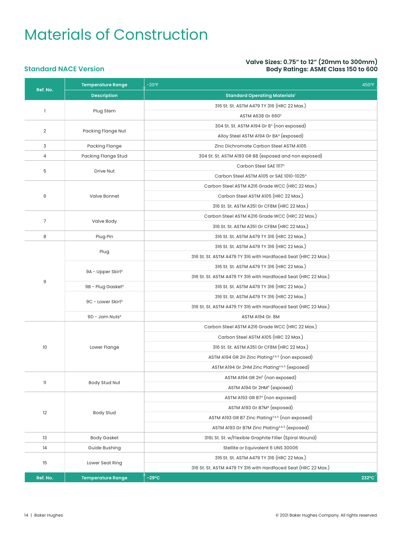#### **Valve Sizes: 0.75" to 12" (20mm to 300mm) Body Ratings: ASME Class 150 to 600**

#### **Standard NACE Version**

| Ref. No.       | <b>Temperature Range</b>      | $-20$ °F<br>450°F                                               |  |  |
|----------------|-------------------------------|-----------------------------------------------------------------|--|--|
|                | <b>Description</b>            | <b>Standard Operating Materials'</b>                            |  |  |
| $\mathbf{1}$   |                               | 316 St. St. ASTM A479 TY 316 (HRC 22 Max.)                      |  |  |
|                | Plug Stem                     | ASTM A638 Gr 660 <sup>2</sup>                                   |  |  |
|                |                               | 304 St. St. ASTM A194 Gr 8 <sup>3</sup> (non exposed)           |  |  |
| $\overline{2}$ | Packing Flange Nut            | Alloy Steel ASTM A194 Gr 8A <sup>4</sup> (exposed)              |  |  |
| 3              | <b>Packing Flange</b>         | Zinc Dichromate Carbon Steel ASTM A105                          |  |  |
| 4              | Packing Flange Stud           | 304 St. St. ASTM A193 GR B8 (exposed and non exposed)           |  |  |
|                |                               | Carbon Steel SAE 11173                                          |  |  |
| 5              | Drive Nut                     | Carbon Steel ASTM A105 or SAE 1010-1025 <sup>4</sup>            |  |  |
|                |                               | Carbon Steel ASTM A216 Grade WCC (HRC 22 Max.)                  |  |  |
| 6              | Valve Bonnet                  | Carbon Steel ASTM A105 (HRC 22 Max.)                            |  |  |
|                |                               | 316 St. St. ASTM A351 Gr CF8M (HRC 22 Max.)                     |  |  |
|                |                               | Carbon Steel ASTM A216 Grade WCC (HRC 22 Max.)                  |  |  |
| $\overline{7}$ | Valve Body                    | 316 St. St. ASTM A351 Gr CF8M (HRC 22 Max.)                     |  |  |
| 8              | Plug Pin                      | 316 St. St. ASTM A479 TY 316 (HRC 22 Max.)                      |  |  |
|                |                               | 316 St. St. ASTM A479 TY 316 (HRC 22 Max.)                      |  |  |
|                | Plug                          | 316 St. St. ASTM A479 TY 316 with Hardfaced Seat (HRC 22 Max.)  |  |  |
|                |                               | 316 St. St. ASTM A479 TY 316 (HRC 22 Max.)                      |  |  |
|                | 9A - Upper Skirt <sup>6</sup> | 316 St. St. ASTM A479 TY 316 with Hardfaced Seat (HRC 22 Max.)  |  |  |
| 9              | 9B - Plug Gasket <sup>6</sup> | 316 St. St. ASTM A479 TY 316 (HRC 22 Max.)                      |  |  |
|                |                               | 316 St. St. ASTM A479 TY 316 (HRC 22 Max.)                      |  |  |
|                | 9C - Lower Skirt <sup>6</sup> | 316 St. St. ASTM A479 TY 316 with Hardfaced Seat (HRC 22 Max.)  |  |  |
|                | 9D - Jam Nuts <sup>6</sup>    | ASTM A194 Gr. 8M                                                |  |  |
|                |                               | Carbon Steel ASTM A216 Grade WCC (HRC 22 Max.)                  |  |  |
|                |                               | Carbon Steel ASTM A105 (HRC 22 Max.)                            |  |  |
| 10             | Lower Flange                  | 316 St. St. ASTM A351 Gr CF8M (HRC 22 Max.)                     |  |  |
|                |                               | ASTM A194 GR 2H Zinc Plating <sup>3 &amp; 5</sup> (non exposed) |  |  |
|                |                               | ASTM A194 Gr 2HM Zinc Plating <sup>4&amp;5</sup> (exposed)      |  |  |
|                |                               | ASTM A194 GR 2H <sup>3</sup> (non exposed)                      |  |  |
| 11             | Body Stud Nut                 | ASTM A194 Gr 2HM <sup>4</sup> (exposed)                         |  |  |
|                |                               | ASTM A193 GR B7 <sup>3</sup> (non exposed)                      |  |  |
|                |                               | ASTM A193 Gr B7M <sup>4</sup> (exposed)                         |  |  |
| 12             | <b>Body Stud</b>              | ASTM A193 GR B7 Zinc Plating <sup>3 &amp; 5</sup> (non exposed) |  |  |
|                |                               | ASTM A193 Gr B7M Zinc Plating <sup>4&amp;5</sup> (exposed)      |  |  |
| 13             | <b>Body Gasket</b>            | 316L St. St. w/Flexible Graphite Filler (Spiral Wound)          |  |  |
| 14             | Guide Bushing                 | Stellite or Equivalent 6 UNS 30006                              |  |  |
|                |                               | 316 St. St. ASTM A479 TY 316 (HRC 22 Max.)                      |  |  |
| 15             | Lower Seat Ring               | 316 St. St. ASTM A479 TY 316 with Hardfaced Seat (HRC 22 Max.)  |  |  |
| Ref. No.       | <b>Temperature Range</b>      | $-29^{\circ}C$<br>$232^{\circ}$ C                               |  |  |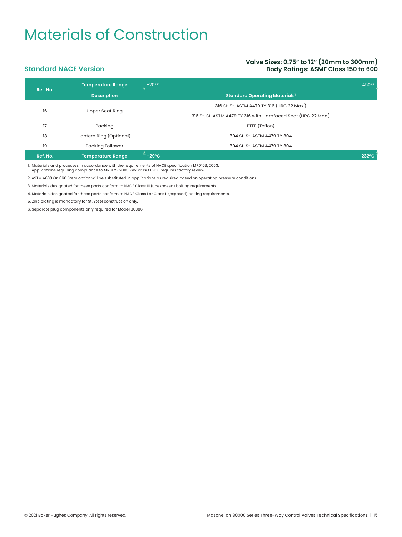#### **Valve Sizes: 0.75" to 12" (20mm to 300mm) Body Ratings: ASME Class 150 to 600**

#### **Standard NACE Version**

| Ref. No. | Temperature Range       | $-20$ °F<br>450°F                                              |  |  |  |  |  |  |
|----------|-------------------------|----------------------------------------------------------------|--|--|--|--|--|--|
|          | <b>Description</b>      | <b>Standard Operating Materials'</b>                           |  |  |  |  |  |  |
|          |                         | 316 St. St. ASTM A479 TY 316 (HRC 22 Max.)                     |  |  |  |  |  |  |
| 16       | Upper Seat Ring         | 316 St. St. ASTM A479 TY 316 with Hardfaced Seat (HRC 22 Max.) |  |  |  |  |  |  |
| 17       | Packing                 | PTFE (Teflon)                                                  |  |  |  |  |  |  |
| 18       | Lantern Ring (Optional) | 304 St. St. ASTM A479 TY 304                                   |  |  |  |  |  |  |
| 19       | <b>Packing Follower</b> | 304 St. St. ASTM A479 TY 304                                   |  |  |  |  |  |  |
| Ref. No. | Temperature Range       | $-29^{\circ}$ C<br>$232^{\circ}$ C                             |  |  |  |  |  |  |

1. Materials and processes in accordance with the requirements of NACE specification MR0103, 2003.

Applications requiring compliance to MR0175, 2003 Rev. or ISO 15156 requires factory review.

2. ASTM A638 Gr. 660 Stem option will be substituted in applications as required based on operating pressure conditions.

3. Materials designated for these parts conform to NACE Class III (unexposed) bolting requirements.

4. Materials designated for these parts conform to NACE Class I or Class II (exposed) bolting requirements.

5. Zinc plating is mandatory for St. Steel construction only.

6. Separate plug components only required for Model 80386.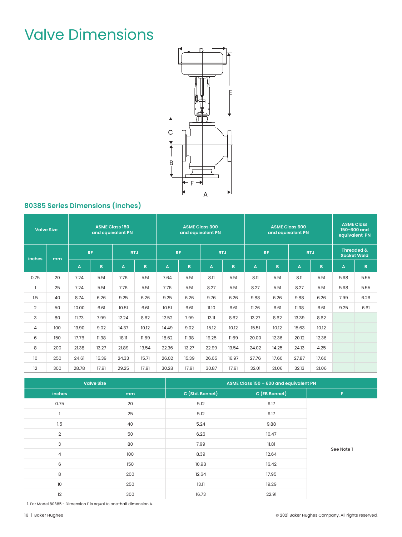# Valve Dimensions



### **80385 Series Dimensions (inches)**

| <b>Valve Size</b> |     | <b>ASME Class 150</b><br>and equivalent PN |           | <b>ASME Class 300</b><br>and equivalent PN |            |                         |           |            | <b>ASME Class 600</b><br>and equivalent PN |       | <b>ASME Class</b><br>150-600 and<br>equivalent PN |       |            |      |                                             |
|-------------------|-----|--------------------------------------------|-----------|--------------------------------------------|------------|-------------------------|-----------|------------|--------------------------------------------|-------|---------------------------------------------------|-------|------------|------|---------------------------------------------|
| inches            | mm  |                                            | <b>RF</b> |                                            | <b>RTJ</b> |                         | <b>RF</b> | <b>RTJ</b> |                                            |       | <b>RF</b>                                         |       | <b>RTJ</b> |      | <b>Threaded &amp;</b><br><b>Socket Weld</b> |
|                   |     | A                                          | B.        | A                                          | B          | $\overline{\mathsf{A}}$ | B.        | A          | B.                                         | A     | B                                                 | A     | B          | A    | $\mathbf B$                                 |
| 0.75              | 20  | 7.24                                       | 5.51      | 7.76                                       | 5.51       | 7.64                    | 5.51      | 8.11       | 5.51                                       | 8.11  | 5.51                                              | 8.11  | 5.51       | 5.98 | 5.55                                        |
|                   | 25  | 7.24                                       | 5.51      | 7.76                                       | 5.51       | 7.76                    | 5.51      | 8.27       | 5.51                                       | 8.27  | 5.51                                              | 8.27  | 5.51       | 5.98 | 5.55                                        |
| 1.5               | 40  | 8.74                                       | 6.26      | 9.25                                       | 6.26       | 9.25                    | 6.26      | 9.76       | 6.26                                       | 9.88  | 6.26                                              | 9.88  | 6.26       | 7.99 | 6.26                                        |
| $\overline{2}$    | 50  | 10.00                                      | 6.61      | 10.51                                      | 6.61       | 10.51                   | 6.61      | 11.10      | 6.61                                       | 11.26 | 6.61                                              | 11.38 | 6.61       | 9.25 | 6.61                                        |
| 3                 | 80  | 11.73                                      | 7.99      | 12.24                                      | 8.62       | 12.52                   | 7.99      | 13.11      | 8.62                                       | 13.27 | 8.62                                              | 13.39 | 8.62       |      |                                             |
| 4                 | 100 | 13.90                                      | 9.02      | 14.37                                      | 10.12      | 14.49                   | 9.02      | 15.12      | 10.12                                      | 15.51 | 10.12                                             | 15.63 | 10.12      |      |                                             |
| 6                 | 150 | 17.76                                      | 11.38     | 18.11                                      | 11.69      | 18.62                   | 11.38     | 19.25      | 11.69                                      | 20.00 | 12.36                                             | 20.12 | 12.36      |      |                                             |
| 8                 | 200 | 21.38                                      | 13.27     | 21.89                                      | 13.54      | 22.36                   | 13.27     | 22.99      | 13.54                                      | 24.02 | 14.25                                             | 24.13 | 4.25       |      |                                             |
| 10                | 250 | 24.61                                      | 15.39     | 24.33                                      | 15.71      | 26.02                   | 15.39     | 26.65      | 16.97                                      | 27.76 | 17.60                                             | 27.87 | 17.60      |      |                                             |
| 12                | 300 | 28.78                                      | 17.91     | 29.25                                      | 17.91      | 30.28                   | 17.91     | 30.87      | 17.91                                      | 32.01 | 21.06                                             | 32.13 | 21.06      |      |                                             |

|                | <b>Valve Size</b> | ASME Class 150 - 600 and equivalent PN |               |            |  |  |  |  |
|----------------|-------------------|----------------------------------------|---------------|------------|--|--|--|--|
| inches         | mm                | C (Std. Bonnet)                        | C (EB Bonnet) | F.         |  |  |  |  |
| 0.75           | 20                | 5.12                                   | 9.17          |            |  |  |  |  |
|                | 25                | 5.12                                   | 9.17          |            |  |  |  |  |
| 1.5            | 40                | 5.24                                   | 9.88          |            |  |  |  |  |
| $\overline{2}$ | 50                | 6.26                                   | 10.47         |            |  |  |  |  |
| 3              | 80                | 7.99                                   | 11.81         |            |  |  |  |  |
| $\overline{4}$ | 100               | 8.39                                   | 12.64         | See Note 1 |  |  |  |  |
| 6              | 150               | 10.98                                  | 16.42         |            |  |  |  |  |
| 8              | 200               | 12.64                                  | 17.95         |            |  |  |  |  |
| 10             | 250               | 13.11                                  | 19.29         |            |  |  |  |  |
| 12             | 300               | 16.73                                  | 22.91         |            |  |  |  |  |

1. For Model 80385 - Dimension F is equal to one-half dimension A.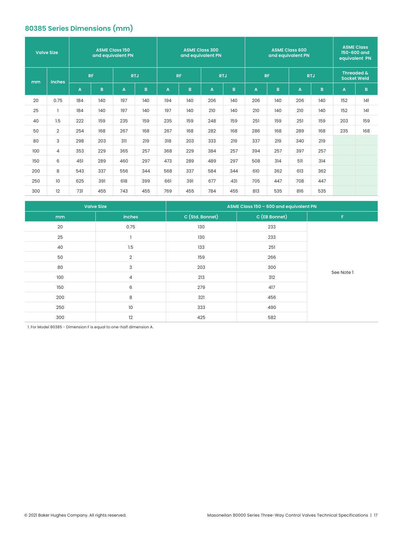### **80385 Series Dimensions (mm)**

|     | <b>ASME Class 150</b><br><b>Valve Size</b><br>and equivalent PN |     |           | <b>ASME Class 300</b><br>and equivalent PN |              |     |           |              |            | <b>ASME Class 600</b><br>and equivalent PN |           |     | <b>ASME Class</b><br>150-600 and<br>equivalent PN |     |                                             |
|-----|-----------------------------------------------------------------|-----|-----------|--------------------------------------------|--------------|-----|-----------|--------------|------------|--------------------------------------------|-----------|-----|---------------------------------------------------|-----|---------------------------------------------|
| mm  | inches                                                          |     | <b>RF</b> |                                            | <b>RTJ</b>   |     | <b>RF</b> |              | <b>RTJ</b> |                                            | <b>RF</b> |     | <b>RTJ</b>                                        |     | <b>Threaded &amp;</b><br><b>Socket Weld</b> |
|     |                                                                 | A   | B         | A                                          | $\mathbf{B}$ | A   | B         | $\mathbf{A}$ | B          | A                                          | B         | A   | B.                                                | A   | B                                           |
| 20  | 0.75                                                            | 184 | 140       | 197                                        | 140          | 194 | 140       | 206          | 140        | 206                                        | 140       | 206 | 140                                               | 152 | 4                                           |
| 25  |                                                                 | 184 | 140       | 197                                        | 140          | 197 | 140       | 210          | 140        | 210                                        | 140       | 210 | 140                                               | 152 | 4                                           |
| 40  | 1.5                                                             | 222 | 159       | 235                                        | 159          | 235 | 159       | 248          | 159        | 251                                        | 159       | 251 | 159                                               | 203 | 159                                         |
| 50  | $\overline{2}$                                                  | 254 | 168       | 267                                        | 168          | 267 | 168       | 282          | 168        | 286                                        | 168       | 289 | 168                                               | 235 | 168                                         |
| 80  | 3                                                               | 298 | 203       | 311                                        | 219          | 318 | 203       | 333          | 219        | 337                                        | 219       | 340 | 219                                               |     |                                             |
| 100 | 4                                                               | 353 | 229       | 365                                        | 257          | 368 | 229       | 384          | 257        | 394                                        | 257       | 397 | 257                                               |     |                                             |
| 150 | 6                                                               | 451 | 289       | 460                                        | 297          | 473 | 289       | 489          | 297        | 508                                        | 314       | 511 | 314                                               |     |                                             |
| 200 | 8                                                               | 543 | 337       | 556                                        | 344          | 568 | 337       | 584          | 344        | 610                                        | 362       | 613 | 362                                               |     |                                             |
| 250 | 10                                                              | 625 | 391       | 618                                        | 399          | 661 | 391       | 677          | 431        | 705                                        | 447       | 708 | 447                                               |     |                                             |
| 300 | 12                                                              | 731 | 455       | 743                                        | 455          | 769 | 455       | 784          | 455        | 813                                        | 535       | 816 | 535                                               |     |                                             |

|     | <b>Valve Size</b> | ASME Class 150 - 600 and equivalent PN |               |            |  |  |  |  |
|-----|-------------------|----------------------------------------|---------------|------------|--|--|--|--|
| mm  | inches            | C (Std. Bonnet)                        | C (EB Bonnet) | F.         |  |  |  |  |
| 20  | 0.75              | 130                                    | 233           |            |  |  |  |  |
| 25  |                   | 130                                    | 233           |            |  |  |  |  |
| 40  | 1.5               | 133                                    | 251           |            |  |  |  |  |
| 50  | $\overline{2}$    | 159                                    | 266           |            |  |  |  |  |
| 80  | 3                 | 203                                    | 300           |            |  |  |  |  |
| 100 | $\overline{4}$    | 213                                    | 312           | See Note 1 |  |  |  |  |
| 150 | 6                 | 279                                    | 417           |            |  |  |  |  |
| 200 | 8                 | 321                                    | 456           |            |  |  |  |  |
| 250 | 10                | 333                                    | 490           |            |  |  |  |  |
| 300 | 12                | 425                                    | 582           |            |  |  |  |  |

1. For Model 80385 - Dimension F is equal to one-half dimension A.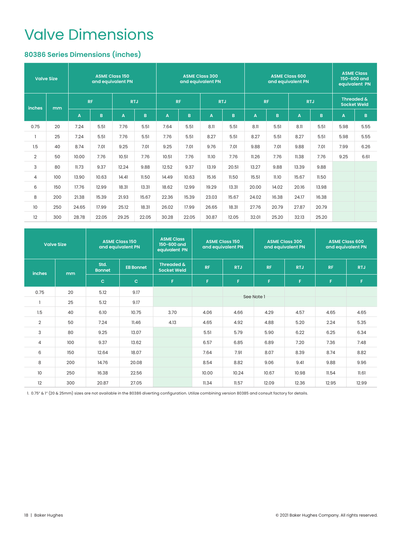### Valve Dimensions

### **80386 Series Dimensions (inches)**

|                 | <b>ASME Class 150</b><br><b>Valve Size</b><br>and equivalent PN |           |              | <b>ASME Class 300</b><br>and equivalent PN |       |       |           | <b>ASME Class 600</b><br>and equivalent PN |            |       |           | <b>ASME Class</b><br>150-600 and<br>equivalent PN |       |                                  |             |
|-----------------|-----------------------------------------------------------------|-----------|--------------|--------------------------------------------|-------|-------|-----------|--------------------------------------------|------------|-------|-----------|---------------------------------------------------|-------|----------------------------------|-------------|
| inches          | mm                                                              | <b>RF</b> |              | <b>RTJ</b>                                 |       |       | <b>RF</b> |                                            | <b>RTJ</b> |       | <b>RF</b> | <b>RTJ</b>                                        |       | Threaded &<br><b>Socket Weld</b> |             |
|                 |                                                                 | A         | $\, {\bf B}$ | A                                          | B     | A     | B         | A                                          | B.         | A     | B         | A                                                 | B     | A                                | $\mathbf B$ |
| 0.75            | 20                                                              | 7.24      | 5.51         | 7.76                                       | 5.51  | 7.64  | 5.51      | 8.11                                       | 5.51       | 8.11  | 5.51      | 8.11                                              | 5.51  | 5.98                             | 5.55        |
|                 | 25                                                              | 7.24      | 5.51         | 7.76                                       | 5.51  | 7.76  | 5.51      | 8.27                                       | 5.51       | 8.27  | 5.51      | 8.27                                              | 5.51  | 5.98                             | 5.55        |
| 1.5             | 40                                                              | 8.74      | 7.01         | 9.25                                       | 7.01  | 9.25  | 7.01      | 9.76                                       | 7.01       | 9.88  | 7.01      | 9.88                                              | 7.01  | 7.99                             | 6.26        |
| $\overline{2}$  | 50                                                              | 10.00     | 7.76         | 10.51                                      | 7.76  | 10.51 | 7.76      | 11.10                                      | 7.76       | 11.26 | 7.76      | 11.38                                             | 7.76  | 9.25                             | 6.61        |
| 3               | 80                                                              | 11.73     | 9.37         | 12.24                                      | 9.88  | 12.52 | 9.37      | 13.19                                      | 20.51      | 13.27 | 9.88      | 13.39                                             | 9.88  |                                  |             |
| $\overline{4}$  | 100                                                             | 13.90     | 10.63        | 14.41                                      | 11.50 | 14.49 | 10.63     | 15.16                                      | 11.50      | 15.51 | 11.10     | 15.67                                             | 11.50 |                                  |             |
| 6               | 150                                                             | 17.76     | 12.99        | 18.31                                      | 13.31 | 18.62 | 12.99     | 19.29                                      | 13.31      | 20.00 | 14.02     | 20.16                                             | 13.98 |                                  |             |
| 8               | 200                                                             | 21.38     | 15.39        | 21.93                                      | 15.67 | 22.36 | 15.39     | 23.03                                      | 15.67      | 24.02 | 16.38     | 24.17                                             | 16.38 |                                  |             |
| 10 <sup>°</sup> | 250                                                             | 24.65     | 17.99        | 25.12                                      | 18.31 | 26.02 | 17.99     | 26.65                                      | 18.31      | 27.76 | 20.79     | 27.87                                             | 20.79 |                                  |             |
| 12              | 300                                                             | 28.78     | 22.05        | 29.25                                      | 22.05 | 30.28 | 22.05     | 30.87                                      | 12.05      | 32.01 | 25.20     | 32.13                                             | 25.20 |                                  |             |

|                | <b>Valve Size</b> | <b>ASME Class 150</b><br>and equivalent PN<br>Std. |                  | <b>ASME Class</b><br>150-600 and<br>equivalent PN | <b>ASME Class 150</b><br>and equivalent PN |            |            | <b>ASME Class 300</b><br>and equivalent PN | <b>ASME Class 600</b><br>and equivalent PN |            |  |
|----------------|-------------------|----------------------------------------------------|------------------|---------------------------------------------------|--------------------------------------------|------------|------------|--------------------------------------------|--------------------------------------------|------------|--|
| inches         | mm                | <b>Bonnet</b>                                      | <b>EB Bonnet</b> | Threaded &<br><b>Socket Weld</b>                  | <b>RF</b>                                  | <b>RTJ</b> | <b>RF</b>  | <b>RTJ</b>                                 | <b>RF</b>                                  | <b>RTJ</b> |  |
|                |                   | $\mathbf{C}$                                       | $\mathbf{C}$     | F                                                 | F.                                         | F          | F          | F                                          | F.                                         | F          |  |
| 0.75           | 20                | 5.12                                               | 9.17             |                                                   |                                            |            | See Note 1 |                                            |                                            |            |  |
|                | 25                | 5.12                                               | 9.17             |                                                   |                                            |            |            |                                            |                                            |            |  |
| 1.5            | 40                | 6.10                                               | 10.75            | 3.70                                              | 4.06                                       | 4.66       | 4.29       | 4.57                                       | 4.65                                       | 4.65       |  |
| $\overline{2}$ | 50                | 7.24                                               | 11.46            | 4.13                                              | 4.65                                       | 4.92       | 4.88       | 5.20                                       | 2.24                                       | 5.35       |  |
| 3              | 80                | 9.25                                               | 13.07            |                                                   | 5.51                                       | 5.79       | 5.90       | 6.22                                       | 6.25                                       | 6.34       |  |
| 4              | 100               | 9.37                                               | 13.62            |                                                   | 6.57                                       | 6.85       | 6.89       | 7.20                                       | 7.36                                       | 7.48       |  |
| 6              | 150               | 12.64                                              | 18.07            |                                                   | 7.64                                       | 7.91       | 8.07       | 8.39                                       | 8.74                                       | 8.82       |  |
| 8              | 200               | 14.76                                              | 20.08            |                                                   | 8.54                                       | 8.82       | 9.06       | 9.41                                       | 9.88                                       | 9.96       |  |
| 10             | 250               | 16.38                                              | 22.56            |                                                   | 10.00                                      | 10.24      | 10.67      | 10.98                                      | 11.54                                      | 11.61      |  |
| 12             | 300               | 20.87                                              | 27.05            |                                                   | 11.34                                      | 11.57      | 12.09      | 12.36                                      | 12.95                                      | 12.99      |  |

1. 0.75" & 1" (20 & 25mm) sizes are not available in the 80386 diverting configuration. Utilize combining version 80385 and consult factory for details.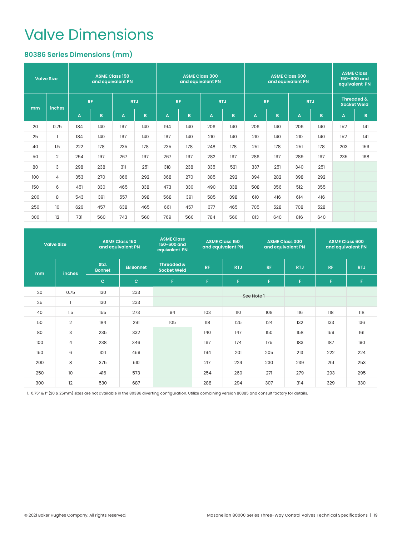### Valve Dimensions

### **80386 Series Dimensions (mm)**

|     | <b>ASME Class 150</b><br><b>Valve Size</b><br>and equivalent PN |     |           | <b>ASME Class 300</b><br>and equivalent PN<br><b>RF</b><br><b>RTJ</b> |            |     |     | <b>ASME Class 600</b><br>and equivalent PN |     |     |           | <b>ASME Class</b><br>150-600 and<br>equivalent PN |            |     |                                  |
|-----|-----------------------------------------------------------------|-----|-----------|-----------------------------------------------------------------------|------------|-----|-----|--------------------------------------------|-----|-----|-----------|---------------------------------------------------|------------|-----|----------------------------------|
| mm  | <b>inches</b>                                                   |     | <b>RF</b> |                                                                       | <b>RTJ</b> |     |     |                                            |     |     | <b>RF</b> |                                                   | <b>RTJ</b> |     | Threaded &<br><b>Socket Weld</b> |
|     |                                                                 | A   | B.        | A                                                                     | B          | A   | B.  | A                                          | B   | A   | B         | A                                                 | B.         | A   | B                                |
| 20  | 0.75                                                            | 184 | 140       | 197                                                                   | 140        | 194 | 140 | 206                                        | 140 | 206 | 140       | 206                                               | 140        | 152 | 4                                |
| 25  |                                                                 | 184 | 140       | 197                                                                   | 140        | 197 | 140 | 210                                        | 140 | 210 | 140       | 210                                               | 140        | 152 | 4                                |
| 40  | 1.5                                                             | 222 | 178       | 235                                                                   | 178        | 235 | 178 | 248                                        | 178 | 251 | 178       | 251                                               | 178        | 203 | 159                              |
| 50  | $\overline{2}$                                                  | 254 | 197       | 267                                                                   | 197        | 267 | 197 | 282                                        | 197 | 286 | 197       | 289                                               | 197        | 235 | 168                              |
| 80  | 3                                                               | 298 | 238       | 311                                                                   | 251        | 318 | 238 | 335                                        | 521 | 337 | 251       | 340                                               | 251        |     |                                  |
| 100 | 4                                                               | 353 | 270       | 366                                                                   | 292        | 368 | 270 | 385                                        | 292 | 394 | 282       | 398                                               | 292        |     |                                  |
| 150 | 6                                                               | 451 | 330       | 465                                                                   | 338        | 473 | 330 | 490                                        | 338 | 508 | 356       | 512                                               | 355        |     |                                  |
| 200 | 8                                                               | 543 | 391       | 557                                                                   | 398        | 568 | 391 | 585                                        | 398 | 610 | 416       | 614                                               | 416        |     |                                  |
| 250 | 10 <sup>°</sup>                                                 | 626 | 457       | 638                                                                   | 465        | 661 | 457 | 677                                        | 465 | 705 | 528       | 708                                               | 528        |     |                                  |
| 300 | 12                                                              | 731 | 560       | 743                                                                   | 560        | 769 | 560 | 784                                        | 560 | 813 | 640       | 816                                               | 640        |     |                                  |

|     | <b>Valve Size</b> |                       | <b>ASME Class 150</b><br>and equivalent PN | <b>ASME Class</b><br>150-600 and<br>equivalent PN |           | <b>ASME Class 150</b><br>and equivalent PN |            | <b>ASME Class 300</b><br>and equivalent PN |           | <b>ASME Class 600</b><br>and equivalent PN |
|-----|-------------------|-----------------------|--------------------------------------------|---------------------------------------------------|-----------|--------------------------------------------|------------|--------------------------------------------|-----------|--------------------------------------------|
| mm  | <b>inches</b>     | Std.<br><b>Bonnet</b> | <b>EB Bonnet</b>                           | Threaded &<br><b>Socket Weld</b>                  | <b>RF</b> | <b>RTJ</b><br><b>RF</b>                    |            | <b>RTJ</b>                                 | <b>RF</b> | <b>RTJ</b>                                 |
|     |                   | $\mathbf{C}$          | $\mathbf{C}$                               | F                                                 | F.        | F                                          | F          | F                                          | F.        | F                                          |
| 20  | 0.75              | 130                   | 233                                        |                                                   |           |                                            | See Note 1 |                                            |           |                                            |
| 25  |                   | 130                   | 233                                        |                                                   |           |                                            |            |                                            |           |                                            |
| 40  | 1.5               | 155                   | 273                                        | 94                                                | 103       | 110                                        | 109        | 116                                        | 118       | 118                                        |
| 50  | $\overline{2}$    | 184                   | 291                                        | 105                                               | 118       | 125                                        | 124        | 132                                        | 133       | 136                                        |
| 80  | 3                 | 235                   | 332                                        |                                                   | 140       | 147                                        | 150        | 158                                        | 159       | 161                                        |
| 100 | $\overline{4}$    | 238                   | 346                                        |                                                   | 167       | 174                                        | 175        | 183                                        | 187       | 190                                        |
| 150 | 6                 | 321                   | 459                                        |                                                   | 194       | 201                                        | 205        | 213                                        | 222       | 224                                        |
| 200 | 8                 | 375                   | 510                                        |                                                   | 217       | 224                                        | 230        | 239                                        | 251       | 253                                        |
| 250 | 10                | 416                   | 573                                        |                                                   | 254       | 260                                        | 271        | 279                                        | 293       | 295                                        |
| 300 | 12                | 530                   | 687                                        |                                                   | 288       | 294                                        | 307        | 314                                        | 329       | 330                                        |

1. 0.75" & 1" (20 & 25mm) sizes are not available in the 80386 diverting configuration. Utilize combining version 80385 and consult factory for details.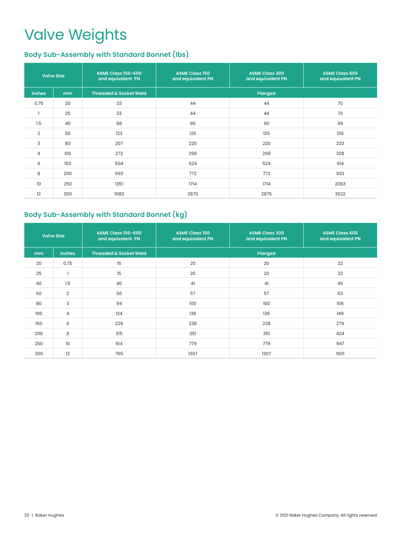# Valve Weights

### **Body Sub-Assembly with Standard Bonnet (lbs)**

|                 | <b>Valve Size</b> | <b>ASME Class 150-600</b><br>and equivalent PN | <b>ASME Class 150</b><br>and equivalent PN | <b>ASME Class 300</b><br>and equivalent PN | <b>ASME Class 600</b><br>and equivalent PN |
|-----------------|-------------------|------------------------------------------------|--------------------------------------------|--------------------------------------------|--------------------------------------------|
| inches          | mm                | <b>Threaded &amp; Socket Weld</b>              |                                            | <b>Flanged</b>                             |                                            |
| 0.75            | 20                | 33                                             | 44                                         | 44                                         | 70                                         |
|                 | 25                | 33                                             | 44                                         | 44                                         | 70                                         |
| 1.5             | 40                | 88                                             | 90                                         | 90                                         | 99                                         |
| $\overline{2}$  | 50                | 123                                            | 125                                        | 125                                        | 139                                        |
| 3               | 80                | 207                                            | 220                                        | 220                                        | 233                                        |
| $\overline{4}$  | 100               | 273                                            | 299                                        | 299                                        | 328                                        |
| 6               | 150               | 504                                            | 524                                        | 524                                        | 614                                        |
| 8               | 200               | 693                                            | 772                                        | 772                                        | 933                                        |
| 10 <sup>°</sup> | 250               | 1351                                           | 1714                                       | 1714                                       | 2083                                       |
| 12              | 300               | 1683                                           | 2875                                       | 2875                                       | 3522                                       |

### **Body Sub-Assembly with Standard Bonnet (kg)**

|               | <b>Valve Size</b> | ASME Class 150-600<br>and equivalent PN | <b>ASME Class 150</b><br>and equivalent PN | <b>ASME Class 300</b><br>and equivalent PN | <b>ASME Class 600</b><br>and equivalent PN |  |  |
|---------------|-------------------|-----------------------------------------|--------------------------------------------|--------------------------------------------|--------------------------------------------|--|--|
| <sub>mm</sub> | <b>inches</b>     | <b>Threaded &amp; Socket Weld</b>       |                                            | <b>Flanged</b>                             |                                            |  |  |
| 20            | 0.75              | 15                                      | 20                                         | 20                                         | 32                                         |  |  |
| 25            |                   | 15                                      | 20                                         | 20                                         | 32                                         |  |  |
| 40            | 1.5               | 40                                      | 41                                         | 41                                         | 45                                         |  |  |
| 50            | $\overline{2}$    | 56                                      | 57                                         | 57                                         | 63                                         |  |  |
| 80            | 3                 | 94                                      | 100                                        | 100                                        | 106                                        |  |  |
| 100           | $\overline{4}$    | 124                                     | 136                                        | 136                                        | 149                                        |  |  |
| 150           | 6                 | 229                                     | 238                                        | 238                                        | 279                                        |  |  |
| 200           | 8                 | 315                                     | 351                                        | 351                                        | 424                                        |  |  |
| 250           | 10                | 614                                     | 779                                        | 779                                        | 947                                        |  |  |
| 300           | 12                | 765                                     | 1307                                       | 1307                                       | 1601                                       |  |  |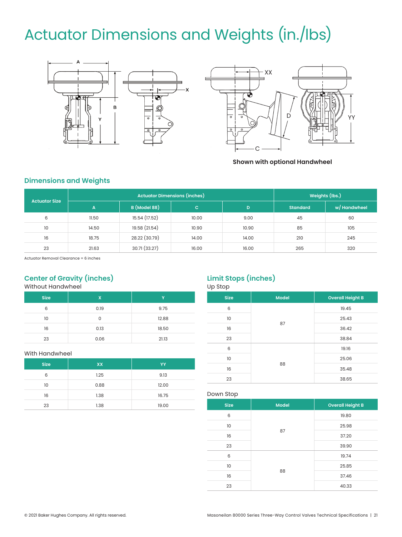# Actuator Dimensions and Weights (in./lbs)





**Shown with optional Handwheel**

### **Dimensions and Weights**

| <b>Actuator Size</b> |       | <b>Actuator Dimensions (inches)</b> |              |       | Weights (lbs.)  |              |
|----------------------|-------|-------------------------------------|--------------|-------|-----------------|--------------|
|                      | A     | B (Model 88)                        | $\mathbf{C}$ | D     | <b>Standard</b> | w/ Handwheel |
| 6                    | 11.50 | 15.54 (17.52)                       | 10.00        | 9.00  | 45              | 60           |
| 10                   | 14.50 | 19.58 (21.54)                       | 10.90        | 10.90 | 85              | 105          |
| 16                   | 18.75 | 28.22 (30.79)                       | 14.00        | 14.00 | 210             | 245          |
| 23                   | 21.63 | 30.71 (33.27)                       | 16.00        | 16.00 | 265             | 320          |

Actuator Removal Clearance = 6 inches

### **Center of Gravity (inches)**

Without Handwheel

| <b>Size</b> | X    | v     |
|-------------|------|-------|
| 6           | 0.19 | 9.75  |
| 10          | 0    | 12.88 |
| 16          | 0.13 | 18.50 |
| 23          | 0.06 | 21.13 |

#### With Handwheel

| <b>Size</b> | <b>XX</b> | YY    |
|-------------|-----------|-------|
| 6           | 1.25      | 9.13  |
| 10          | 0.88      | 12.00 |
| 16          | 1.38      | 16.75 |
| 23          | 1.38      | 19.00 |

### **Limit Stops (inches)**

Up Stop

| <b>Size</b> | <b>Model</b> | <b>Overall Height B</b> |
|-------------|--------------|-------------------------|
| 6           | 87           | 19.45                   |
| 10          |              | 25.43                   |
| 16          |              | 36.42                   |
| 23          |              | 38.84                   |
| 6           | 88           | 19.16                   |
| 10          |              | 25.06                   |
| 16          |              | 35.48                   |
| 23          |              | 38.65                   |

Down Stop

| . <b>.</b>  |              |                         |  |
|-------------|--------------|-------------------------|--|
| <b>Size</b> | <b>Model</b> | <b>Overall Height B</b> |  |
| 6           | 87           | 19.80                   |  |
| 10          |              | 25.98                   |  |
| 16          |              | 37.20                   |  |
| 23          |              | 39.90                   |  |
| 6           | 88           | 19.74                   |  |
| 10          |              | 25.85                   |  |
| 16          |              | 37.46                   |  |
| 23          |              | 40.33                   |  |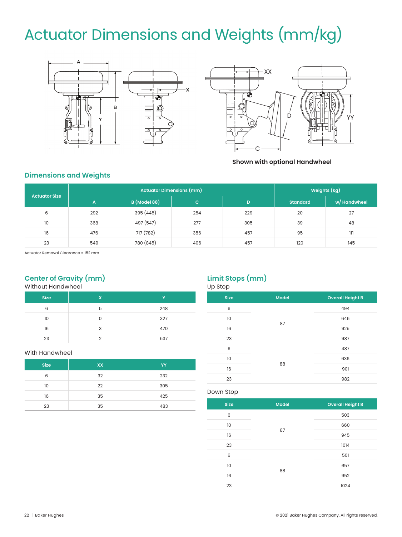# Actuator Dimensions and Weights (mm/kg)





**Shown with optional Handwheel**

### **Dimensions and Weights**

| <b>Actuator Size</b> | Actuator Dimensions (mm) |                     |     | Weights (kg) |                 |              |
|----------------------|--------------------------|---------------------|-----|--------------|-----------------|--------------|
|                      | A.                       | <b>B</b> (Model 88) | c.  | D            | <b>Standard</b> | w/ Handwheel |
| 6                    | 292                      | 395 (445)           | 254 | 229          | 20              | 27           |
| 10                   | 368                      | 497 (547)           | 277 | 305          | 39              | 48           |
| 16                   | 476                      | 717 (782)           | 356 | 457          | 95              | 111          |
| 23                   | 549                      | 780 (845)           | 406 | 457          | 120             | 145          |

Actuator Removal Clearance = 152 mm

### **Center of Gravity (mm)**

Without Handwheel

| <b>Size</b> | X | v   |
|-------------|---|-----|
| 6           | 5 | 248 |
| 10          | U | 327 |
| 16          | 3 | 470 |
| 23          | ∩ | 537 |

#### With Handwheel

| <b>Size</b> | <b>XX</b> | YY  |
|-------------|-----------|-----|
| 6           | 32        | 232 |
| 10          | 22        | 305 |
| 16          | 35        | 425 |
| 23          | 35        | 483 |

### **Limit Stops (mm)**

| Up Stop     |              |                         |  |
|-------------|--------------|-------------------------|--|
| <b>Size</b> | <b>Model</b> | <b>Overall Height B</b> |  |
| 6           | 87           | 494                     |  |
| 10          |              | 646                     |  |
| 16          |              | 925                     |  |
| 23          |              | 987                     |  |
| 6           | 88           | 487                     |  |
| 10          |              | 636                     |  |
| 16          |              | 901                     |  |
| 23          |              | 982                     |  |

#### Down Stop

| <b>Size</b> | <b>Model</b> | <b>Overall Height B</b> |
|-------------|--------------|-------------------------|
| 6           | 87           | 503                     |
| 10          |              | 660                     |
| 16          |              | 945                     |
| 23          |              | 1014                    |
| 6           | 88           | 501                     |
| 10          |              | 657                     |
| 16          |              | 952                     |
| 23          |              | 1024                    |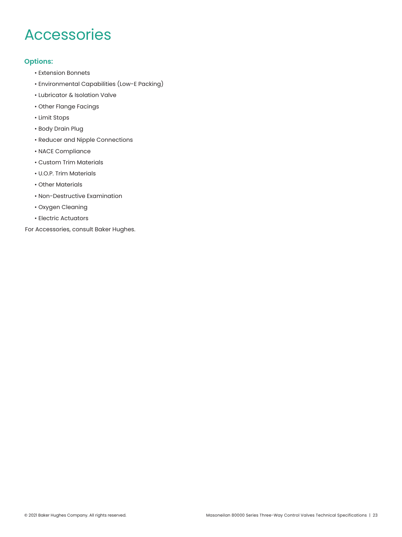### Accessories

### **Options:**

- Extension Bonnets
- Environmental Capabilities (Low-E Packing)
- Lubricator & Isolation Valve
- Other Flange Facings
- Limit Stops
- Body Drain Plug
- Reducer and Nipple Connections
- NACE Compliance
- Custom Trim Materials
- U.O.P. Trim Materials
- Other Materials
- Non-Destructive Examination
- Oxygen Cleaning
- Electric Actuators

For Accessories, consult Baker Hughes.